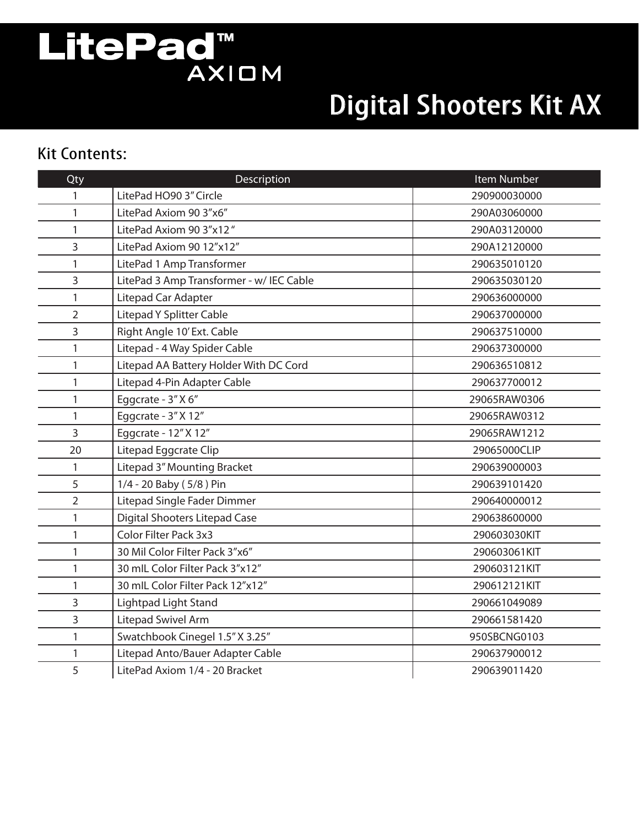# LitePad<sup>M</sup><br>AXIOM

## Digital Shooters Kit AX

#### Kit Contents:

| Qty            | Description                              | Item Number  |
|----------------|------------------------------------------|--------------|
|                | LitePad HO90 3" Circle                   | 290900030000 |
| 1              | LitePad Axiom 90 3"x6"                   | 290A03060000 |
| 1              | LitePad Axiom 90 3"x12"                  | 290A03120000 |
| 3              | LitePad Axiom 90 12"x12"                 | 290A12120000 |
| 1              | LitePad 1 Amp Transformer                | 290635010120 |
| 3              | LitePad 3 Amp Transformer - w/ IEC Cable | 290635030120 |
| 1              | Litepad Car Adapter                      | 290636000000 |
| 2              | <b>Litepad Y Splitter Cable</b>          | 290637000000 |
| 3              | Right Angle 10' Ext. Cable               | 290637510000 |
| 1              | Litepad - 4 Way Spider Cable             | 290637300000 |
| 1              | Litepad AA Battery Holder With DC Cord   | 290636510812 |
| 1              | Litepad 4-Pin Adapter Cable              | 290637700012 |
| 1              | Eggcrate - 3" X 6"                       | 29065RAW0306 |
| $\mathbf{1}$   | Eggcrate - 3" X 12"                      | 29065RAW0312 |
| 3              | Eggcrate - 12" X 12"                     | 29065RAW1212 |
| 20             | Litepad Eggcrate Clip                    | 29065000CLIP |
| 1              | Litepad 3" Mounting Bracket              | 290639000003 |
| 5              | 1/4 - 20 Baby (5/8) Pin                  | 290639101420 |
| $\overline{2}$ | Litepad Single Fader Dimmer              | 290640000012 |
| 1              | <b>Digital Shooters Litepad Case</b>     | 290638600000 |
| 1              | Color Filter Pack 3x3                    | 290603030KIT |
| 1              | 30 Mil Color Filter Pack 3"x6"           | 290603061KIT |
| 1              | 30 mlL Color Filter Pack 3"x12"          | 290603121KIT |
| 1              | 30 mlL Color Filter Pack 12"x12"         | 290612121KIT |
| 3              | Lightpad Light Stand                     | 290661049089 |
| 3              | Litepad Swivel Arm                       | 290661581420 |
| 1              | Swatchbook Cinegel 1.5" X 3.25"          | 950SBCNG0103 |
| 1              | Litepad Anto/Bauer Adapter Cable         | 290637900012 |
| 5              | LitePad Axiom 1/4 - 20 Bracket           | 290639011420 |